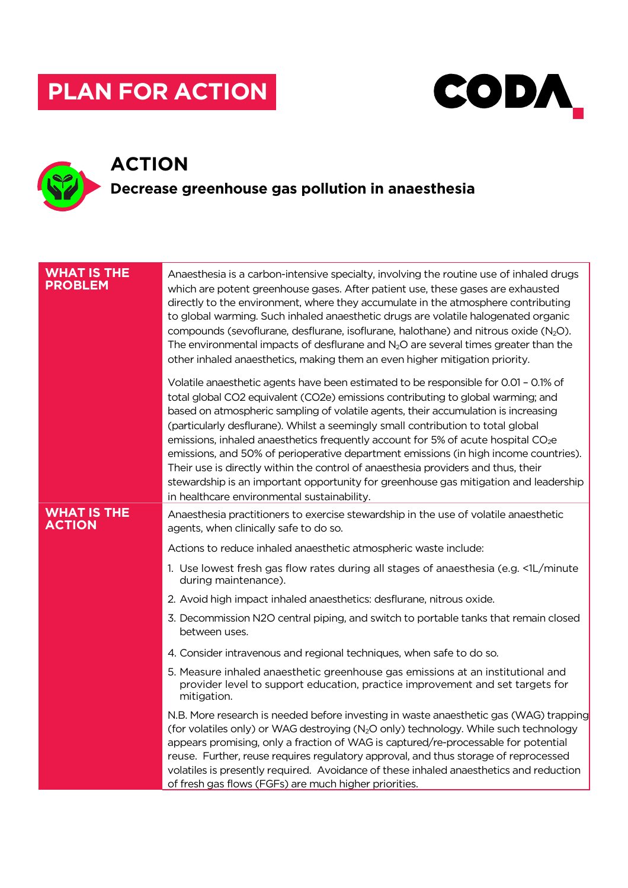# **PLAN FOR ACTION**



## **ACTION Decrease greenhouse gas pollution in anaesthesia**

### **WHAT IS THE PROBLEM** Anaesthesia is a carbon-intensive specialty, involving the routine use of inhaled drugs which are potent greenhouse gases. After patient use, these gases are exhausted directly to the environment, where they accumulate in the atmosphere contributing to global warming. Such inhaled anaesthetic drugs are volatile halogenated organic compounds (sevoflurane, desflurane, isoflurane, halothane) and nitrous oxide  $(N_2O)$ . The environmental impacts of desflurane and  $N_2O$  are several times greater than the other inhaled anaesthetics, making them an even higher mitigation priority. Volatile anaesthetic agents have been estimated to be responsible for 0.01 – 0.1% of total global CO2 equivalent (CO2e) emissions contributing to global warming; and based on atmospheric sampling of volatile agents, their accumulation is increasing (particularly desflurane). Whilst a seemingly small contribution to total global emissions, inhaled anaesthetics frequently account for 5% of acute hospital CO<sub>2</sub>e emissions, and 50% of perioperative department emissions (in high income countries). Their use is directly within the control of anaesthesia providers and thus, their stewardship is an important opportunity for greenhouse gas mitigation and leadership in healthcare environmental sustainability. **WHAT IS THE ACTION** Anaesthesia practitioners to exercise stewardship in the use of volatile anaesthetic agents, when clinically safe to do so. Actions to reduce inhaled anaesthetic atmospheric waste include: 1. Use lowest fresh gas flow rates during all stages of anaesthesia (e.g. <1L/minute during maintenance). 2. Avoid high impact inhaled anaesthetics: desflurane, nitrous oxide. 3. Decommission N2O central piping, and switch to portable tanks that remain closed between uses. 4. Consider intravenous and regional techniques, when safe to do so. 5. Measure inhaled anaesthetic greenhouse gas emissions at an institutional and provider level to support education, practice improvement and set targets for mitigation. N.B. More research is needed before investing in waste anaesthetic gas (WAG) trapping (for volatiles only) or WAG destroying (N2O only) technology. While such technology appears promising, only a fraction of WAG is captured/re-processable for potential reuse. Further, reuse requires regulatory approval, and thus storage of reprocessed volatiles is presently required. Avoidance of these inhaled anaesthetics and reduction of fresh gas flows (FGFs) are much higher priorities.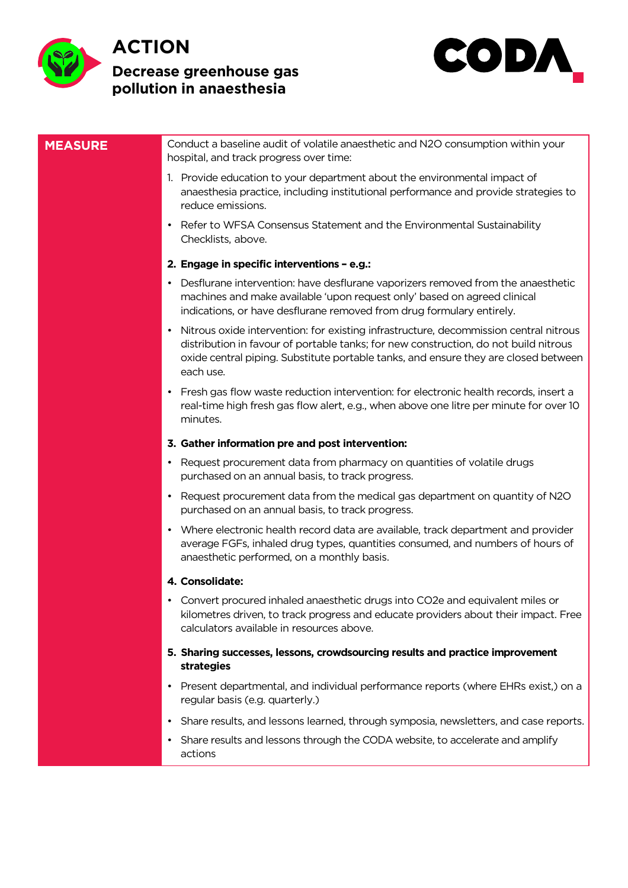

### **ACTION**

### **Decrease greenhouse gas pollution in anaesthesia**



### **MEASURE** Conduct a baseline audit of volatile anaesthetic and N2O consumption within your hospital, and track progress over time: 1. Provide education to your department about the environmental impact of anaesthesia practice, including institutional performance and provide strategies to reduce emissions. • Refer to WFSA Consensus Statement and the Environmental Sustainability Checklists, above. **2. Engage in specific interventions – e.g.:** • Desflurane intervention: have desflurane vaporizers removed from the anaesthetic machines and make available 'upon request only' based on agreed clinical indications, or have desflurane removed from drug formulary entirely. • Nitrous oxide intervention: for existing infrastructure, decommission central nitrous distribution in favour of portable tanks; for new construction, do not build nitrous oxide central piping. Substitute portable tanks, and ensure they are closed between each use. • Fresh gas flow waste reduction intervention: for electronic health records, insert a real-time high fresh gas flow alert, e.g., when above one litre per minute for over 10 minutes. **3. Gather information pre and post intervention:** • Request procurement data from pharmacy on quantities of volatile drugs purchased on an annual basis, to track progress. • Request procurement data from the medical gas department on quantity of N2O purchased on an annual basis, to track progress. • Where electronic health record data are available, track department and provider average FGFs, inhaled drug types, quantities consumed, and numbers of hours of anaesthetic performed, on a monthly basis. **4. Consolidate:** • Convert procured inhaled anaesthetic drugs into CO2e and equivalent miles or kilometres driven, to track progress and educate providers about their impact. Free calculators available in resources above. **5. Sharing successes, lessons, crowdsourcing results and practice improvement strategies** • Present departmental, and individual performance reports (where EHRs exist,) on a regular basis (e.g. quarterly.) • Share results, and lessons learned, through symposia, newsletters, and case reports. • Share results and lessons through the CODA website, to accelerate and amplify actions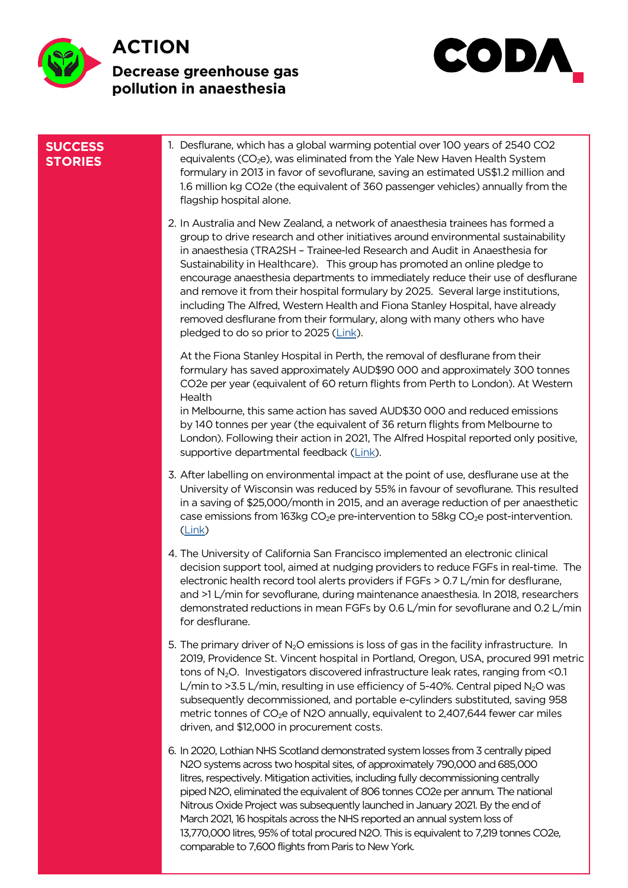



| <b>SUCCESS</b><br><b>STORIES</b> | 1. Desflurane, which has a global warming potential over 100 years of 2540 CO2<br>equivalents (CO <sub>2</sub> e), was eliminated from the Yale New Haven Health System<br>formulary in 2013 in favor of sevoflurane, saving an estimated US\$1.2 million and<br>1.6 million kg CO2e (the equivalent of 360 passenger vehicles) annually from the<br>flagship hospital alone.                                                                                                                                                                                                                                                                                                                                  |
|----------------------------------|----------------------------------------------------------------------------------------------------------------------------------------------------------------------------------------------------------------------------------------------------------------------------------------------------------------------------------------------------------------------------------------------------------------------------------------------------------------------------------------------------------------------------------------------------------------------------------------------------------------------------------------------------------------------------------------------------------------|
|                                  | 2. In Australia and New Zealand, a network of anaesthesia trainees has formed a<br>group to drive research and other initiatives around environmental sustainability<br>in anaesthesia (TRA2SH - Trainee-led Research and Audit in Anaesthesia for<br>Sustainability in Healthcare). This group has promoted an online pledge to<br>encourage anaesthesia departments to immediately reduce their use of desflurane<br>and remove it from their hospital formulary by 2025. Several large institutions,<br>including The Alfred, Western Health and Fiona Stanley Hospital, have already<br>removed desflurane from their formulary, along with many others who have<br>pledged to do so prior to 2025 (Link). |
|                                  | At the Fiona Stanley Hospital in Perth, the removal of desflurane from their<br>formulary has saved approximately AUD\$90 000 and approximately 300 tonnes<br>CO2e per year (equivalent of 60 return flights from Perth to London). At Western<br>Health                                                                                                                                                                                                                                                                                                                                                                                                                                                       |
|                                  | in Melbourne, this same action has saved AUD\$30 000 and reduced emissions<br>by 140 tonnes per year (the equivalent of 36 return flights from Melbourne to<br>London). Following their action in 2021, The Alfred Hospital reported only positive,<br>supportive departmental feedback (Link).                                                                                                                                                                                                                                                                                                                                                                                                                |
|                                  | 3. After labelling on environmental impact at the point of use, desflurane use at the<br>University of Wisconsin was reduced by 55% in favour of sevoflurane. This resulted<br>in a saving of \$25,000/month in 2015, and an average reduction of per anaesthetic<br>case emissions from 163kg CO <sub>2</sub> e pre-intervention to 58kg CO <sub>2</sub> e post-intervention.<br>$(\text{Link})$                                                                                                                                                                                                                                                                                                              |
|                                  | 4. The University of California San Francisco implemented an electronic clinical<br>decision support tool, aimed at nudging providers to reduce FGFs in real-time. The<br>electronic health record tool alerts providers if FGFs > 0.7 L/min for desflurane,<br>and >1 L/min for sevoflurane, during maintenance anaesthesia. In 2018, researchers<br>demonstrated reductions in mean FGFs by 0.6 L/min for sevoflurane and 0.2 L/min<br>for desflurane.                                                                                                                                                                                                                                                       |
|                                  | 5. The primary driver of $N_2O$ emissions is loss of gas in the facility infrastructure. In<br>2019, Providence St. Vincent hospital in Portland, Oregon, USA, procured 991 metric<br>tons of N <sub>2</sub> O. Investigators discovered infrastructure leak rates, ranging from <0.1<br>L/min to >3.5 L/min, resulting in use efficiency of 5-40%. Central piped $N_2$ O was<br>subsequently decommissioned, and portable e-cylinders substituted, saving 958<br>metric tonnes of CO <sub>2</sub> e of N2O annually, equivalent to 2,407,644 fewer car miles<br>driven, and \$12,000 in procurement costs.                                                                                                    |
|                                  | 6. In 2020, Lothian NHS Scotland demonstrated system losses from 3 centrally piped<br>N2O systems across two hospital sites, of approximately 790,000 and 685,000<br>litres, respectively. Mitigation activities, including fully decommissioning centrally<br>piped N2O, eliminated the equivalent of 806 tonnes CO2e per annum. The national<br>Nitrous Oxide Project was subsequently launched in January 2021. By the end of<br>March 2021, 16 hospitals across the NHS reported an annual system loss of<br>13,770,000 litres, 95% of total procured N2O. This is equivalent to 7,219 tonnes CO2e,<br>comparable to 7,600 flights from Paris to New York.                                                 |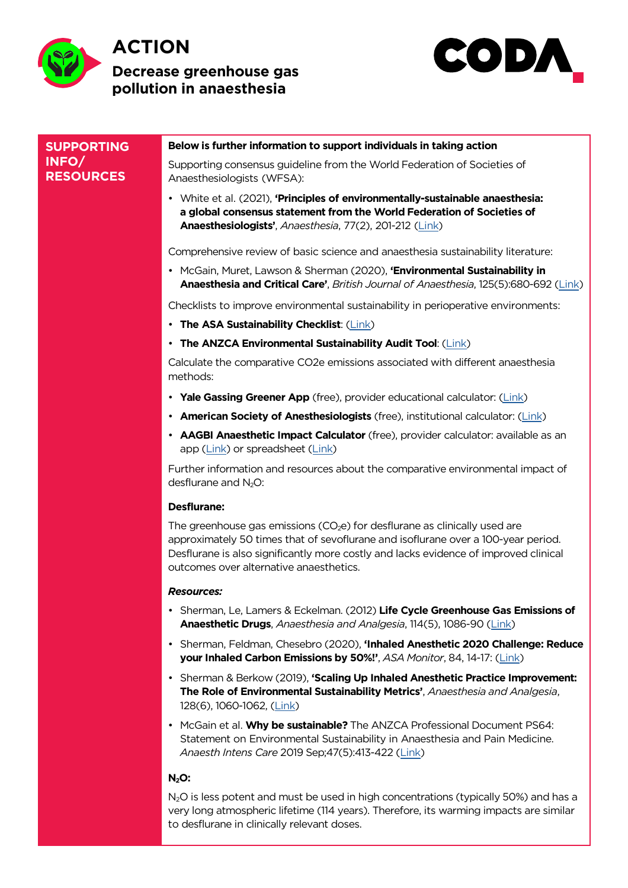



| <b>SUPPORTING</b>         | Below is further information to support individuals in taking action                                                                                                                                                                                                                                  |
|---------------------------|-------------------------------------------------------------------------------------------------------------------------------------------------------------------------------------------------------------------------------------------------------------------------------------------------------|
| INFO/<br><b>RESOURCES</b> | Supporting consensus guideline from the World Federation of Societies of<br>Anaesthesiologists (WFSA):                                                                                                                                                                                                |
|                           | • White et al. (2021), 'Principles of environmentally-sustainable anaesthesia:<br>a global consensus statement from the World Federation of Societies of<br>Anaesthesiologists', Anaesthesia, 77(2), 201-212 (Link)                                                                                   |
|                           | Comprehensive review of basic science and anaesthesia sustainability literature:                                                                                                                                                                                                                      |
|                           | • McGain, Muret, Lawson & Sherman (2020), 'Environmental Sustainability in<br>Anaesthesia and Critical Care', British Journal of Anaesthesia, 125(5):680-692 (Link)                                                                                                                                   |
|                           | Checklists to improve environmental sustainability in perioperative environments:                                                                                                                                                                                                                     |
|                           | • The ASA Sustainability Checklist: (Link)                                                                                                                                                                                                                                                            |
|                           | • The ANZCA Environmental Sustainability Audit Tool: (Link)                                                                                                                                                                                                                                           |
|                           | Calculate the comparative CO2e emissions associated with different anaesthesia<br>methods:                                                                                                                                                                                                            |
|                           | • Yale Gassing Greener App (free), provider educational calculator: (Link)                                                                                                                                                                                                                            |
|                           | • American Society of Anesthesiologists (free), institutional calculator: (Link)                                                                                                                                                                                                                      |
|                           | • AAGBI Anaesthetic Impact Calculator (free), provider calculator: available as an<br>app (Link) or spreadsheet (Link)                                                                                                                                                                                |
|                           | Further information and resources about the comparative environmental impact of<br>desflurane and $N_2O$ :                                                                                                                                                                                            |
|                           | <b>Desflurane:</b>                                                                                                                                                                                                                                                                                    |
|                           | The greenhouse gas emissions ( $CO2e$ ) for desflurane as clinically used are<br>approximately 50 times that of sevoflurane and isoflurane over a 100-year period.<br>Desflurane is also significantly more costly and lacks evidence of improved clinical<br>outcomes over alternative anaesthetics. |
|                           | <b>Resources:</b>                                                                                                                                                                                                                                                                                     |
|                           | • Sherman, Le, Lamers & Eckelman. (2012) Life Cycle Greenhouse Gas Emissions of<br>Anaesthetic Drugs, Anaesthesia and Analgesia, 114(5), 1086-90 (Link)                                                                                                                                               |
|                           | • Sherman, Feldman, Chesebro (2020), 'Inhaled Anesthetic 2020 Challenge: Reduce<br>your Inhaled Carbon Emissions by 50%!', ASA Monitor, 84, 14-17: (Link)                                                                                                                                             |
|                           | • Sherman & Berkow (2019), 'Scaling Up Inhaled Anesthetic Practice Improvement:<br>The Role of Environmental Sustainability Metrics', Anaesthesia and Analgesia,<br>128(6), 1060-1062, (Link)                                                                                                         |
|                           | • McGain et al. Why be sustainable? The ANZCA Professional Document PS64:<br>Statement on Environmental Sustainability in Anaesthesia and Pain Medicine.<br>Anaesth Intens Care 2019 Sep;47(5):413-422 (Link)                                                                                         |
|                           | $N2O$ :                                                                                                                                                                                                                                                                                               |
|                           | N <sub>2</sub> O is less potent and must be used in high concentrations (typically 50%) and has a<br>very long atmospheric lifetime (114 years). Therefore, its warming impacts are similar<br>to desflurane in clinically relevant doses.                                                            |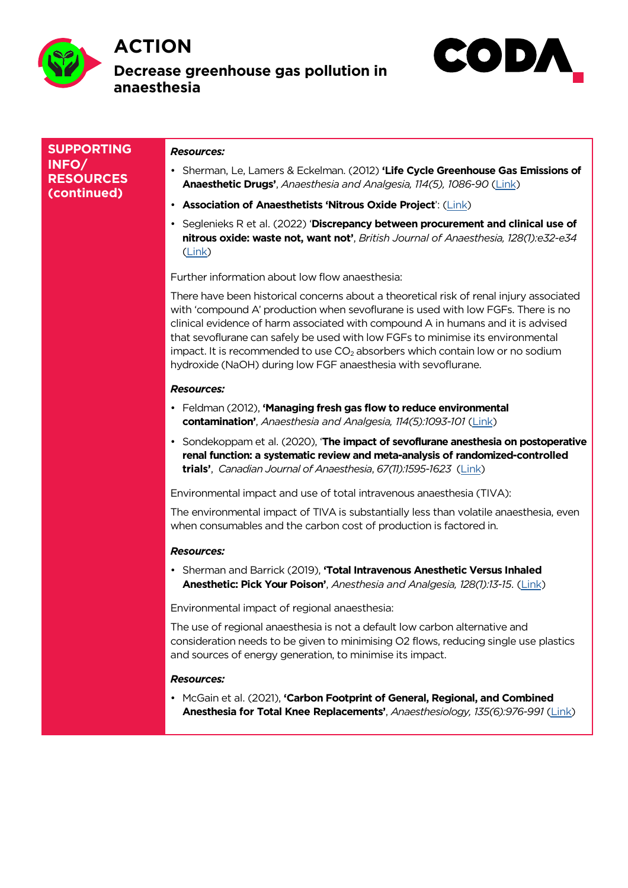

### **ACTION Decrease greenhouse gas pollution in anaesthesia**



**SUPPORTING INFO/ RESOURCES (continued)**

#### *Resources:*

- Sherman, Le, Lamers & Eckelman. (2012) **'Life Cycle Greenhouse Gas Emissions of Anaesthetic Drugs'**, *Anaesthesia and Analgesia, 114(5), 1086-90* (Link)
- **Association of Anaesthetists 'Nitrous Oxide Project**': (Link)
- Seglenieks R et al. (2022) '**Discrepancy between procurement and clinical use of nitrous oxide: waste not, want not'**, *British Journal of Anaesthes[ia,](https://pubmed.ncbi.nlm.nih.gov/22492186/) 128(1):e32-e34* (Link)

Further information about low flow anaesthesia:

There have been historical concerns about a theoretical risk of renal injury associated with ['co](https://pubmed.ncbi.nlm.nih.gov/34802695/)mpound A' production when sevoflurane is used with low FGFs. There is no clinical evidence of harm associated with compound A in humans and it is advised that sevoflurane can safely be used with low FGFs to minimise its environmental impact. It is recommended to use  $CO<sub>2</sub>$  absorbers which contain low or no sodium hydroxide (NaOH) during low FGF anaesthesia with sevoflurane.

#### *Resources:*

- Feldman (2012), **'Managing fresh gas flow to reduce environmental contamination'**, *Anaesthesia and Analgesia, 114(5):1093-101* (Link)
- Sondekoppam et al. (2020), '**The impact of sevoflurane anesthesia on postoperative renal function: a systematic review and meta-analysis of randomized-controlled trials'**, *Canadian Journal of Anaesthesia*, *67(11):1595-1623* (Li[nk\)](https://pubmed.ncbi.nlm.nih.gov/22415533/)

Environmental impact and use of total intravenous anaesthesia (TIVA):

The environmental impact of TIVA is substantially less than volatile anaesthesia, even when consumables and the carbon cost of production is fac[tored](https://pubmed.ncbi.nlm.nih.gov/32812189/) in.

### *Resources:*

• Sherman and Barrick (2019), **'Total Intravenous Anesthetic Versus Inhaled Anesthetic: Pick Your Poison'**, *Anesthesia and Analgesia, 128(1):13-15*. (Link)

Environmental impact of regional anaesthesia:

The use of regional anaesthesia is not a default low carbon alternative and consideration needs to be given to minimising O2 flows, reducing single [use](https://journals.lww.com/anesthesia-analgesia/fulltext/2019/01000/total_intravenous_anesthetic_versus_inhaled.7.aspx) plastics and sources of energy generation, to minimise its impact.

#### *Resources:*

• McGain et al. (2021), **'Carbon Footprint of General, Regional, and Combined Anesthesia for Total Knee Replacements'**, *Anaesthesiology, 135(6):976-991* (Link)